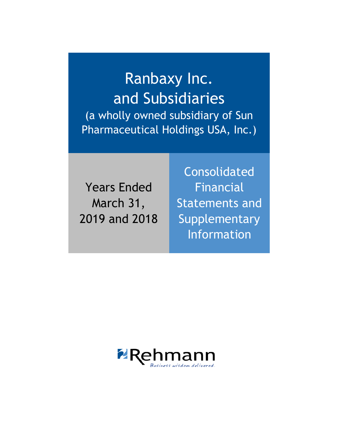## Ranbaxy Inc. and Subsidiaries

(a wholly owned subsidiary of Sun Pharmaceutical Holdings USA, Inc.)

Years Ended March 31, 2019 and 2018

Consolidated Financial Statements and Supplementary Information

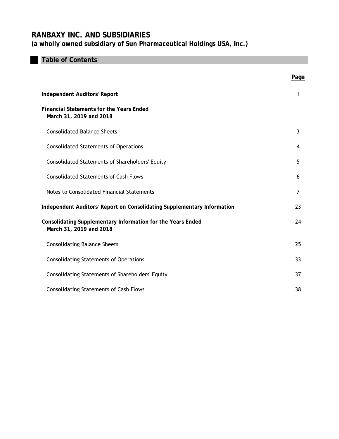**(a wholly owned subsidiary of Sun Pharmaceutical Holdings USA, Inc.)** 

### **Table of Contents**

|                                                                                        | Page |
|----------------------------------------------------------------------------------------|------|
| <b>Independent Auditors' Report</b>                                                    | 1    |
| <b>Financial Statements for the Years Ended</b><br>March 31, 2019 and 2018             |      |
| <b>Consolidated Balance Sheets</b>                                                     | 3    |
| <b>Consolidated Statements of Operations</b>                                           | 4    |
| <b>Consolidated Statements of Shareholders' Equity</b>                                 | 5    |
| <b>Consolidated Statements of Cash Flows</b>                                           | 6    |
| Notes to Consolidated Financial Statements                                             | 7    |
| Independent Auditors' Report on Consolidating Supplementary Information                | 23   |
| Consolidating Supplementary Information for the Years Ended<br>March 31, 2019 and 2018 | 24   |
| <b>Consolidating Balance Sheets</b>                                                    | 25   |
| <b>Consolidating Statements of Operations</b>                                          | 33   |
| <b>Consolidating Statements of Shareholders' Equity</b>                                | 37   |
| <b>Consolidating Statements of Cash Flows</b>                                          | 38   |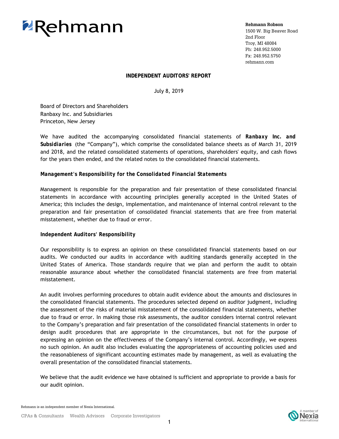# **ZRehmann**

**Rehmann Robson**

1500 W. Big Beaver Road 2nd Floor Troy, MI 48084 Ph: 248.952.5000 Fx: 248.952.5750 rehmann.com

#### **INDEPENDENT AUDITORS' REPORT**

July 8, 2019

Board of Directors and Shareholders Ranbaxy Inc. and Subsidiaries Princeton, New Jersey

We have audited the accompanying consolidated financial statements of *Ranbaxy Inc. and Subsidiaries* (the "Company"), which comprise the consolidated balance sheets as of March 31, 2019 and 2018, and the related consolidated statements of operations, shareholders' equity, and cash flows for the years then ended, and the related notes to the consolidated financial statements.

### *Management's Responsibility for the Consolidated Financial Statements*

Management is responsible for the preparation and fair presentation of these consolidated financial statements in accordance with accounting principles generally accepted in the United States of America; this includes the design, implementation, and maintenance of internal control relevant to the preparation and fair presentation of consolidated financial statements that are free from material misstatement, whether due to fraud or error.

### *Independent Auditors' Responsibility*

Our responsibility is to express an opinion on these consolidated financial statements based on our audits. We conducted our audits in accordance with auditing standards generally accepted in the United States of America. Those standards require that we plan and perform the audit to obtain reasonable assurance about whether the consolidated financial statements are free from material misstatement.

An audit involves performing procedures to obtain audit evidence about the amounts and disclosures in the consolidated financial statements. The procedures selected depend on auditor judgment, including the assessment of the risks of material misstatement of the consolidated financial statements, whether due to fraud or error. In making those risk assessments, the auditor considers internal control relevant to the Company's preparation and fair presentation of the consolidated financial statements in order to design audit procedures that are appropriate in the circumstances, but not for the purpose of expressing an opinion on the effectiveness of the Company's internal control. Accordingly, we express no such opinion. An audit also includes evaluating the appropriateness of accounting policies used and the reasonableness of significant accounting estimates made by management, as well as evaluating the overall presentation of the consolidated financial statements.

We believe that the audit evidence we have obtained is sufficient and appropriate to provide a basis for our audit opinion.

Rehmann is an independent member of Nexia International.

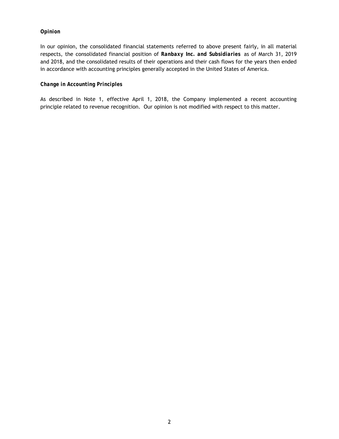### *Opinion*

In our opinion, the consolidated financial statements referred to above present fairly, in all material respects, the consolidated financial position of *Ranbaxy Inc. and Subsidiaries* as of March 31, 2019 and 2018, and the consolidated results of their operations and their cash flows for the years then ended in accordance with accounting principles generally accepted in the United States of America.

#### *Change in Accounting Principles*

As described in Note 1, effective April 1, 2018, the Company implemented a recent accounting principle related to revenue recognition. Our opinion is not modified with respect to this matter.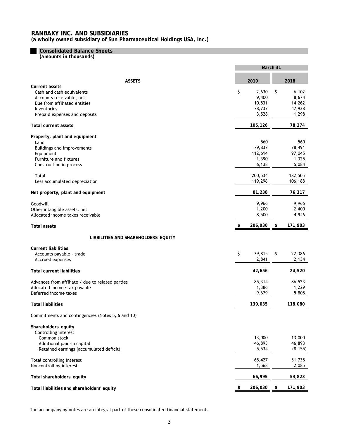**(a wholly owned subsidiary of Sun Pharmaceutical Holdings USA, Inc.)**

#### **Consolidated Balance Sheets**

*(amounts in thousands)*

|                                                   | March 31      |     |          |
|---------------------------------------------------|---------------|-----|----------|
| <b>ASSETS</b>                                     | 2019          |     | 2018     |
| <b>Current assets</b>                             | \$<br>2,630   |     | 6,102    |
| Cash and cash equivalents                         | 9,400         | \$. | 8,674    |
| Accounts receivable, net                          |               |     |          |
| Due from affiliated entities                      | 10,831        |     | 14,262   |
| Inventories                                       | 78,737        |     | 47,938   |
| Prepaid expenses and deposits                     | 3,528         |     | 1,298    |
| <b>Total current assets</b>                       | 105,126       |     | 78,274   |
| Property, plant and equipment                     | 560           |     | 560      |
| Land                                              |               |     |          |
| Buildings and improvements                        | 79,832        |     | 78,491   |
| Equipment                                         | 112,614       |     | 97,045   |
| Furniture and fixtures                            | 1,390         |     | 1,325    |
| Construction in process                           | 6,138         |     | 5,084    |
| Total                                             | 200,534       |     | 182,505  |
| Less accumulated depreciation                     | 119,296       |     | 106,188  |
| Net property, plant and equipment                 | 81,238        |     | 76,317   |
|                                                   |               |     |          |
| Goodwill                                          | 9,966         |     | 9,966    |
| Other intangible assets, net                      | 1,200         |     | 2,400    |
| Allocated income taxes receivable                 | 8,500         |     | 4,946    |
| <b>Total assets</b>                               | \$<br>206,030 | \$  | 171,903  |
| LIABILITIES AND SHAREHOLDERS' EQUITY              |               |     |          |
| <b>Current liabilities</b>                        |               |     |          |
| Accounts payable - trade                          | \$<br>39,815  | \$. | 22,386   |
| Accrued expenses                                  | 2,841         |     | 2,134    |
| <b>Total current liabilities</b>                  | 42,656        |     | 24,520   |
|                                                   |               |     |          |
| Advances from affiliate / due to related parties  | 85,314        |     | 86,523   |
| Allocated income tax payable                      | 1,386         |     | 1,229    |
| Deferred income taxes                             | 9,679         |     | 5,808    |
| <b>Total liabilities</b>                          | 139,035       |     | 118,080  |
| Commitments and contingencies (Notes 5, 6 and 10) |               |     |          |
| Shareholders' equity                              |               |     |          |
| Controlling interest                              |               |     |          |
| Common stock                                      | 13,000        |     | 13,000   |
| Additional paid-in capital                        | 46,893        |     | 46,893   |
| Retained earnings (accumulated deficit)           | 5,534         |     | (8, 155) |
| Total controlling interest                        | 65,427        |     | 51,738   |
| Noncontrolling interest                           | 1,568         |     | 2,085    |
| Total shareholders' equity                        | 66,995        |     | 53,823   |
| Total liabilities and shareholders' equity        | \$<br>206,030 | \$  | 171,903  |
|                                                   |               |     |          |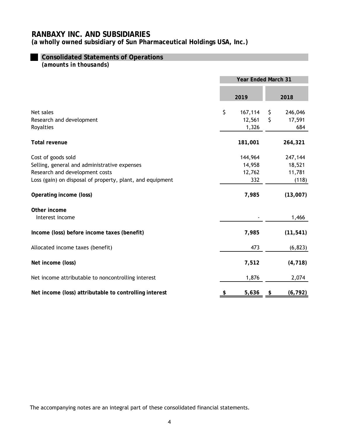**(a wholly owned subsidiary of Sun Pharmaceutical Holdings USA, Inc.)**

### **Consolidated Statements of Operations**

*(amounts in thousands)*

|                                                           |    | <b>Year Ended March 31</b> |    |               |  |  |
|-----------------------------------------------------------|----|----------------------------|----|---------------|--|--|
|                                                           |    | 2019                       |    | 2018          |  |  |
| Net sales                                                 | \$ | 167,114                    | \$ | 246,046       |  |  |
| Research and development<br>Royalties                     |    | 12,561<br>1,326            | \$ | 17,591<br>684 |  |  |
| <b>Total revenue</b>                                      |    | 181,001                    |    | 264,321       |  |  |
| Cost of goods sold                                        |    | 144,964                    |    | 247,144       |  |  |
| Selling, general and administrative expenses              |    | 14,958                     |    | 18,521        |  |  |
| Research and development costs                            |    | 12,762                     |    | 11,781        |  |  |
| Loss (gain) on disposal of property, plant, and equipment |    | 332                        |    | (118)         |  |  |
| Operating income (loss)                                   |    | 7,985                      |    | (13,007)      |  |  |
| Other income<br>Interest income                           |    |                            |    | 1,466         |  |  |
| Income (loss) before income taxes (benefit)               |    | 7,985                      |    | (11, 541)     |  |  |
| Allocated income taxes (benefit)                          |    | 473                        |    | (6, 823)      |  |  |
| Net income (loss)                                         |    | 7,512                      |    | (4, 718)      |  |  |
| Net income attributable to noncontrolling interest        |    | 1,876                      |    | 2,074         |  |  |
| Net income (loss) attributable to controlling interest    | S  | 5,636                      | \$ | (6, 792)      |  |  |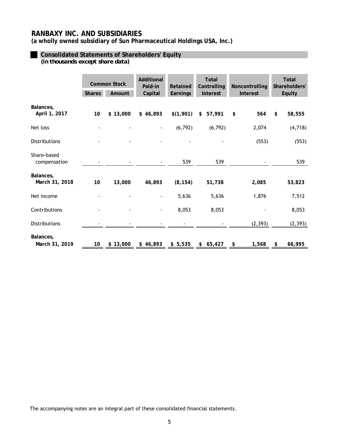**(a wholly owned subsidiary of Sun Pharmaceutical Holdings USA, Inc.)**

### **Consolidated Statements of Shareholders' Equity**

*(in thousands except share data)*

|                             |               | <b>Common Stock</b> | Additional<br>Paid-in    | Retained  | <b>Total</b><br>Controlling | Noncontrolling  | <b>Total</b><br>Shareholders' |
|-----------------------------|---------------|---------------------|--------------------------|-----------|-----------------------------|-----------------|-------------------------------|
|                             | <b>Shares</b> | Amount              | Capital                  | Earnings  | Interest                    | <b>Interest</b> | Equity                        |
| Balances,<br>April 1, 2017  | 10            | \$13,000            | \$46,893                 | \$(1,901) | 57,991<br>\$                | \$<br>564       | \$<br>58,555                  |
| Net loss                    |               |                     | $\blacksquare$           | (6, 792)  | (6, 792)                    | 2,074           | (4, 718)                      |
| Distributions               |               |                     |                          |           |                             | (553)           | (553)                         |
| Share-based<br>compensation |               |                     | $\blacksquare$           | 539       | 539                         |                 | 539                           |
| Balances,<br>March 31, 2018 | 10            | 13,000              | 46,893                   | (8, 154)  | 51,738                      | 2,085           | 53,823                        |
| Net income                  |               |                     | $\blacksquare$           | 5,636     | 5,636                       | 1,876           | 7,512                         |
| Contributions               |               |                     | $\overline{\phantom{a}}$ | 8,053     | 8,053                       |                 | 8,053                         |
| <b>Distributions</b>        |               |                     |                          |           |                             | (2, 393)        | (2, 393)                      |
| Balances,<br>March 31, 2019 |               | 10 \$13,000         | $$46,893$ $$5,535$       |           | \$65,427                    | 1,568<br>\$     | 66,995<br>\$                  |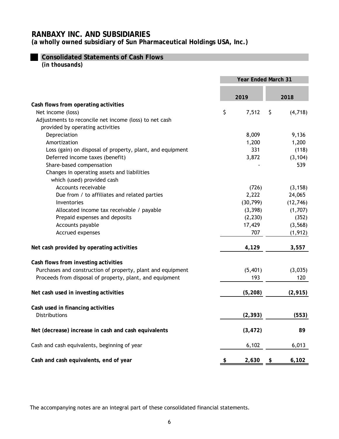**(a wholly owned subsidiary of Sun Pharmaceutical Holdings USA, Inc.)**

### **Consolidated Statements of Cash Flows**

*(in thousands)*

|                                                             | Year Ended March 31 |    |           |  |  |
|-------------------------------------------------------------|---------------------|----|-----------|--|--|
|                                                             | 2019                |    | 2018      |  |  |
| Cash flows from operating activities                        |                     |    |           |  |  |
| Net income (loss)                                           | \$<br>7,512         | \$ | (4, 718)  |  |  |
| Adjustments to reconcile net income (loss) to net cash      |                     |    |           |  |  |
| provided by operating activities                            |                     |    |           |  |  |
| Depreciation                                                | 8,009               |    | 9,136     |  |  |
| Amortization                                                | 1,200               |    | 1,200     |  |  |
| Loss (gain) on disposal of property, plant, and equipment   | 331                 |    | (118)     |  |  |
| Deferred income taxes (benefit)                             | 3,872               |    | (3, 104)  |  |  |
| Share-based compensation                                    |                     |    | 539       |  |  |
| Changes in operating assets and liabilities                 |                     |    |           |  |  |
| which (used) provided cash                                  |                     |    |           |  |  |
| Accounts receivable                                         | (726)               |    | (3, 158)  |  |  |
| Due from / to affiliates and related parties                | 2,222               |    | 24,065    |  |  |
| Inventories                                                 | (30, 799)           |    | (12, 746) |  |  |
| Allocated income tax receivable / payable                   | (3, 398)            |    | (1,707)   |  |  |
| Prepaid expenses and deposits                               | (2, 230)            |    | (352)     |  |  |
| Accounts payable                                            | 17,429              |    | (3, 568)  |  |  |
| Accrued expenses                                            | 707                 |    | (1, 912)  |  |  |
| Net cash provided by operating activities                   | 4,129               |    | 3,557     |  |  |
| Cash flows from investing activities                        |                     |    |           |  |  |
| Purchases and construction of property, plant and equipment | (5,401)             |    | (3,035)   |  |  |
| Proceeds from disposal of property, plant, and equipment    | 193                 |    | 120       |  |  |
| Net cash used in investing activities                       | (5, 208)            |    | (2, 915)  |  |  |
| Cash used in financing activities                           |                     |    |           |  |  |
| <b>Distributions</b>                                        | (2, 393)            |    | (553)     |  |  |
| Net (decrease) increase in cash and cash equivalents        | (3, 472)            |    | 89        |  |  |
| Cash and cash equivalents, beginning of year                | 6,102               |    | 6,013     |  |  |
| Cash and cash equivalents, end of year                      | \$<br>2,630         | \$ | 6,102     |  |  |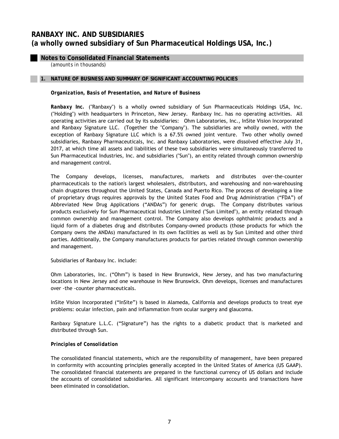#### **Notes to Consolidated Financial Statements**

*(amounts in thousands)*

#### **1. NATURE OF BUSINESS AND SUMMARY OF SIGNIFICANT ACCOUNTING POLICIES**

#### *Organization, Basis of Presentation, and Nature of Business*

*Ranbaxy Inc.* ("Ranbaxy") is a wholly owned subsidiary of Sun Pharmaceuticals Holdings USA, Inc. ("Holding") with headquarters in Princeton, New Jersey. Ranbaxy Inc. has no operating activities. All operating activities are carried out by its subsidiaries: Ohm Laboratories, Inc., InSite Vision Incorporated and Ranbaxy Signature LLC. (Together the "Company"). The subsidiaries are wholly owned, with the exception of Ranbaxy Signature LLC which is a 67.5% owned joint venture. Two other wholly owned subsidiaries, Ranbaxy Pharmaceuticals, Inc. and Ranbaxy Laboratories, were dissolved effective July 31, 2017, at which time all assets and liabilities of these two subsidiaries were simultaneously transferred to Sun Pharmaceutical Industries, Inc. and subsidiaries ("Sun"), an entity related through common ownership and management control.

The Company develops, licenses, manufactures, markets and distributes over-the-counter pharmaceuticals to the nation's largest wholesalers, distributors, and warehousing and non-warehousing chain drugstores throughout the United States, Canada and Puerto Rico. The process of developing a line of proprietary drugs requires approvals by the United States Food and Drug Administration ("FDA") of Abbreviated New Drug Applications ("ANDAs") for generic drugs. The Company distributes various products exclusively for Sun Pharmaceutical Industries Limited ("Sun Limited"), an entity related through common ownership and management control. The Company also develops ophthalmic products and a liquid form of a diabetes drug and distributes Company-owned products (those products for which the Company owns the ANDAs) manufactured in its own facilities as well as by Sun Limited and other third parties. Additionally, the Company manufactures products for parties related through common ownership and management.

Subsidiaries of Ranbaxy Inc. include:

Ohm Laboratories, Inc. ("Ohm") is based in New Brunswick, New Jersey, and has two manufacturing locations in New Jersey and one warehouse in New Brunswick. Ohm develops, licenses and manufactures over -the -counter pharmaceuticals.

InSite Vision Incorporated ("InSite") is based in Alameda, California and develops products to treat eye problems: ocular infection, pain and inflammation from ocular surgery and glaucoma.

Ranbaxy Signature L.L.C. ("Signature") has the rights to a diabetic product that is marketed and distributed through Sun.

#### *Principles of Consolidation*

The consolidated financial statements, which are the responsibility of management, have been prepared in conformity with accounting principles generally accepted in the United States of America (US GAAP). The consolidated financial statements are prepared in the functional currency of US dollars and include the accounts of consolidated subsidiaries. All significant intercompany accounts and transactions have been eliminated in consolidation.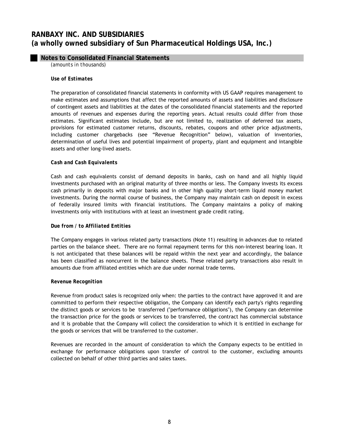#### **Notes to Consolidated Financial Statements**

*(amounts in thousands)*

#### *Use of Estimates*

The preparation of consolidated financial statements in conformity with US GAAP requires management to make estimates and assumptions that affect the reported amounts of assets and liabilities and disclosure of contingent assets and liabilities at the dates of the consolidated financial statements and the reported amounts of revenues and expenses during the reporting years. Actual results could differ from those estimates. Significant estimates include, but are not limited to, realization of deferred tax assets, provisions for estimated customer returns, discounts, rebates, coupons and other price adjustments, including customer chargebacks (see "Revenue Recognition" below), valuation of inventories, determination of useful lives and potential impairment of property, plant and equipment and intangible assets and other long-lived assets.

#### *Cash and Cash Equivalents*

Cash and cash equivalents consist of demand deposits in banks, cash on hand and all highly liquid investments purchased with an original maturity of three months or less. The Company invests its excess cash primarily in deposits with major banks and in other high quality short-term liquid money market investments. During the normal course of business, the Company may maintain cash on deposit in excess of federally insured limits with financial institutions. The Company maintains a policy of making investments only with institutions with at least an investment grade credit rating.

#### *Due from / to Affiliated Entities*

The Company engages in various related party transactions (Note 11) resulting in advances due to related parties on the balance sheet. There are no formal repayment terms for this non-interest bearing loan. It is not anticipated that these balances will be repaid within the next year and accordingly, the balance has been classified as noncurrent in the balance sheets. These related party transactions also result in amounts due from affiliated entities which are due under normal trade terms.

#### *Revenue Recognition*

Revenue from product sales is recognized only when: the parties to the contract have approved it and are committed to perform their respective obligation, the Company can identify each party's rights regarding the distinct goods or services to be transferred ("performance obligations"), the Company can determine the transaction price for the goods or services to be transferred, the contract has commercial substance and it is probable that the Company will collect the consideration to which it is entitled in exchange for the goods or services that will be transferred to the customer.

Revenues are recorded in the amount of consideration to which the Company expects to be entitled in exchange for performance obligations upon transfer of control to the customer, excluding amounts collected on behalf of other third parties and sales taxes.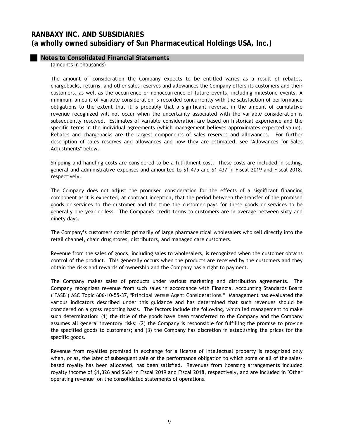### **Notes to Consolidated Financial Statements**

*(amounts in thousands)*

The amount of consideration the Company expects to be entitled varies as a result of rebates, chargebacks, returns, and other sales reserves and allowances the Company offers its customers and their customers, as well as the occurrence or nonoccurrence of future events, including milestone events. A minimum amount of variable consideration is recorded concurrently with the satisfaction of performance obligations to the extent that it is probably that a significant reversal in the amount of cumulative revenue recognized will not occur when the uncertainty associated with the variable consideration is subsequently resolved. Estimates of variable consideration are based on historical experience and the specific terms in the individual agreements (which management believes approximates expected value). Rebates and chargebacks are the largest components of sales reserves and allowances. For further description of sales reserves and allowances and how they are estimated, see "Allowances for Sales Adjustments" below.

Shipping and handling costs are considered to be a fulfillment cost. These costs are included in selling, general and administrative expenses and amounted to \$1,475 and \$1,437 in Fiscal 2019 and Fiscal 2018, respectively.

The Company does not adjust the promised consideration for the effects of a significant financing component as it is expected, at contract inception, that the period between the transfer of the promised goods or services to the customer and the time the customer pays for these goods or services to be generally one year or less. The Company's credit terms to customers are in average between sixty and ninety days.

The Company's customers consist primarily of large pharmaceutical wholesalers who sell directly into the retail channel, chain drug stores, distributors, and managed care customers.

Revenue from the sales of goods, including sales to wholesalers, is recognized when the customer obtains control of the product. This generally occurs when the products are received by the customers and they obtain the risks and rewards of ownership and the Company has a right to payment.

The Company makes sales of products under various marketing and distribution agreements. The Company recognizes revenue from such sales in accordance with Financial Accounting Standards Board ("FASB") ASC Topic 606-10-55-37, *"Principal versus Agent Considerations."* Management has evaluated the various indicators described under this guidance and has determined that such revenues should be considered on a gross reporting basis. The factors include the following, which led management to make such determination: (1) the title of the goods have been transferred to the Company and the Company assumes all general inventory risks; (2) the Company is responsible for fulfilling the promise to provide the specified goods to customers; and (3) the Company has discretion in establishing the prices for the specific goods.

Revenue from royalties promised in exchange for a license of Intellectual property is recognized only when, or as, the later of subsequent sale or the performance obligation to which some or all of the salesbased royalty has been allocated, has been satisfied. Revenues from licensing arrangements included royalty income of \$1,326 and \$684 in Fiscal 2019 and Fiscal 2018, respectively, and are included in "Other operating revenue" on the consolidated statements of operations.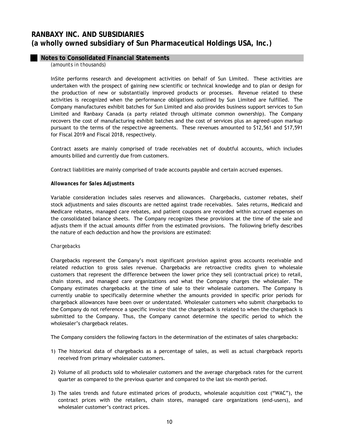### **Notes to Consolidated Financial Statements**

*(amounts in thousands)*

InSite performs research and development activities on behalf of Sun Limited. These activities are undertaken with the prospect of gaining new scientific or technical knowledge and to plan or design for the production of new or substantially improved products or processes. Revenue related to these activities is recognized when the performance obligations outlined by Sun Limited are fulfilled. The Company manufactures exhibit batches for Sun Limited and also provides business support services to Sun Limited and Ranbaxy Canada (a party related through ultimate common ownership). The Company recovers the cost of manufacturing exhibit batches and the cost of services plus an agreed-upon markup pursuant to the terms of the respective agreements. These revenues amounted to \$12,561 and \$17,591 for Fiscal 2019 and Fiscal 2018, respectively.

Contract assets are mainly comprised of trade receivables net of doubtful accounts, which includes amounts billed and currently due from customers.

Contract liabilities are mainly comprised of trade accounts payable and certain accrued expenses.

#### *Allowances for Sales Adjustments*

Variable consideration includes sales reserves and allowances. Chargebacks, customer rebates, shelf stock adjustments and sales discounts are netted against trade receivables. Sales returns, Medicaid and Medicare rebates, managed care rebates, and patient coupons are recorded within accrued expenses on the consolidated balance sheets. The Company recognizes these provisions at the time of the sale and adjusts them if the actual amounts differ from the estimated provisions. The following briefly describes the nature of each deduction and how the provisions are estimated:

#### *Chargebacks*

Chargebacks represent the Company's most significant provision against gross accounts receivable and related reduction to gross sales revenue. Chargebacks are retroactive credits given to wholesale customers that represent the difference between the lower price they sell (contractual price) to retail, chain stores, and managed care organizations and what the Company charges the wholesaler. The Company estimates chargebacks at the time of sale to their wholesale customers. The Company is currently unable to specifically determine whether the amounts provided in specific prior periods for chargeback allowances have been over or understated. Wholesaler customers who submit chargebacks to the Company do not reference a specific invoice that the chargeback is related to when the chargeback is submitted to the Company. Thus, the Company cannot determine the specific period to which the wholesaler's chargeback relates.

The Company considers the following factors in the determination of the estimates of sales chargebacks:

- 1) The historical data of chargebacks as a percentage of sales, as well as actual chargeback reports received from primary wholesaler customers.
- 2) Volume of all products sold to wholesaler customers and the average chargeback rates for the current quarter as compared to the previous quarter and compared to the last six-month period.
- 3) The sales trends and future estimated prices of products, wholesale acquisition cost ("WAC"), the contract prices with the retailers, chain stores, managed care organizations (end-users), and wholesaler customer's contract prices.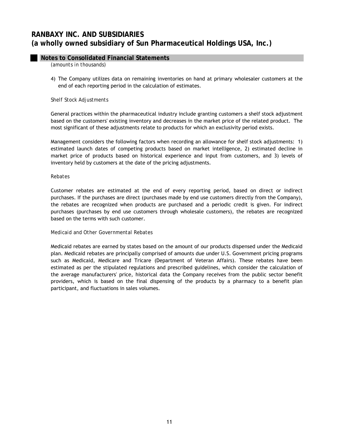#### **Notes to Consolidated Financial Statements**

*(amounts in thousands)*

4) The Company utilizes data on remaining inventories on hand at primary wholesaler customers at the end of each reporting period in the calculation of estimates.

#### *Shelf Stock Adjustments*

General practices within the pharmaceutical industry include granting customers a shelf stock adjustment based on the customers' existing inventory and decreases in the market price of the related product. The most significant of these adjustments relate to products for which an exclusivity period exists.

Management considers the following factors when recording an allowance for shelf stock adjustments: 1) estimated launch dates of competing products based on market intelligence, 2) estimated decline in market price of products based on historical experience and input from customers, and 3) levels of inventory held by customers at the date of the pricing adjustments.

#### *Rebates*

Customer rebates are estimated at the end of every reporting period, based on direct or indirect purchases. If the purchases are direct (purchases made by end use customers directly from the Company), the rebates are recognized when products are purchased and a periodic credit is given. For indirect purchases (purchases by end use customers through wholesale customers), the rebates are recognized based on the terms with such customer.

#### *Medicaid and Other Governmental Rebates*

Medicaid rebates are earned by states based on the amount of our products dispensed under the Medicaid plan. Medicaid rebates are principally comprised of amounts due under U.S. Government pricing programs such as Medicaid, Medicare and Tricare (Department of Veteran Affairs). These rebates have been estimated as per the stipulated regulations and prescribed guidelines, which consider the calculation of the average manufacturers' price, historical data the Company receives from the public sector benefit providers, which is based on the final dispensing of the products by a pharmacy to a benefit plan participant, and fluctuations in sales volumes.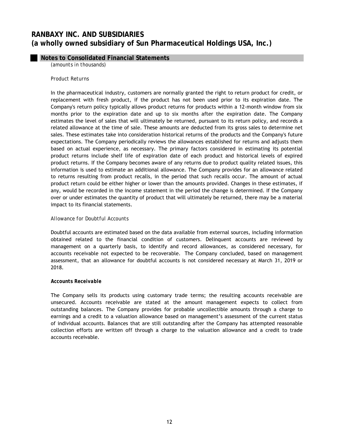### **Notes to Consolidated Financial Statements**

*(amounts in thousands)*

#### *Product Returns*

In the pharmaceutical industry, customers are normally granted the right to return product for credit, or replacement with fresh product, if the product has not been used prior to its expiration date. The Company's return policy typically allows product returns for products within a 12-month window from six months prior to the expiration date and up to six months after the expiration date. The Company estimates the level of sales that will ultimately be returned, pursuant to its return policy, and records a related allowance at the time of sale. These amounts are deducted from its gross sales to determine net sales. These estimates take into consideration historical returns of the products and the Company's future expectations. The Company periodically reviews the allowances established for returns and adjusts them based on actual experience, as necessary. The primary factors considered in estimating its potential product returns include shelf life of expiration date of each product and historical levels of expired product returns. If the Company becomes aware of any returns due to product quality related issues, this information is used to estimate an additional allowance. The Company provides for an allowance related to returns resulting from product recalls, in the period that such recalls occur. The amount of actual product return could be either higher or lower than the amounts provided. Changes in these estimates, if any, would be recorded in the income statement in the period the change is determined. If the Company over or under estimates the quantity of product that will ultimately be returned, there may be a material impact to its financial statements.

#### *Allowance for Doubtful Accounts*

Doubtful accounts are estimated based on the data available from external sources, including information obtained related to the financial condition of customers. Delinquent accounts are reviewed by management on a quarterly basis, to identify and record allowances, as considered necessary, for accounts receivable not expected to be recoverable. The Company concluded, based on management assessment, that an allowance for doubtful accounts is not considered necessary at March 31, 2019 or 2018.

#### *Accounts Receivable*

The Company sells its products using customary trade terms; the resulting accounts receivable are unsecured. Accounts receivable are stated at the amount management expects to collect from outstanding balances. The Company provides for probable uncollectible amounts through a charge to earnings and a credit to a valuation allowance based on management's assessment of the current status of individual accounts. Balances that are still outstanding after the Company has attempted reasonable collection efforts are written off through a charge to the valuation allowance and a credit to trade accounts receivable.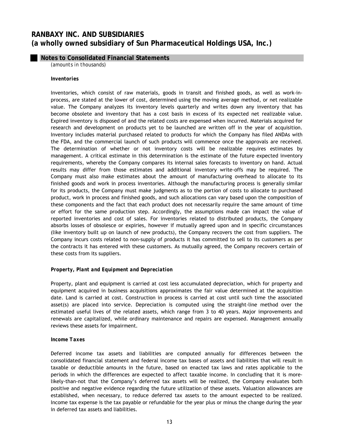### **Notes to Consolidated Financial Statements**

*(amounts in thousands)*

#### *Inventories*

Inventories, which consist of raw materials, goods in transit and finished goods, as well as work-inprocess, are stated at the lower of cost, determined using the moving average method, or net realizable value. The Company analyzes its inventory levels quarterly and writes down any inventory that has become obsolete and inventory that has a cost basis in excess of its expected net realizable value. Expired inventory is disposed of and the related costs are expensed when incurred. Materials acquired for research and development on products yet to be launched are written off in the year of acquisition. Inventory includes material purchased related to products for which the Company has filed ANDAs with the FDA, and the commercial launch of such products will commence once the approvals are received. The determination of whether or not inventory costs will be realizable requires estimates by management. A critical estimate in this determination is the estimate of the future expected inventory requirements, whereby the Company compares its internal sales forecasts to inventory on hand. Actual results may differ from those estimates and additional inventory write-offs may be required. The Company must also make estimates about the amount of manufacturing overhead to allocate to its finished goods and work in process inventories. Although the manufacturing process is generally similar for its products, the Company must make judgments as to the portion of costs to allocate to purchased product, work in process and finished goods, and such allocations can vary based upon the composition of these components and the fact that each product does not necessarily require the same amount of time or effort for the same production step. Accordingly, the assumptions made can impact the value of reported inventories and cost of sales. For inventories related to distributed products, the Company absorbs losses of obsolesce or expiries, however if mutually agreed upon and in specific circumstances (like inventory built up on launch of new products), the Company recovers the cost from suppliers. The Company incurs costs related to non-supply of products it has committed to sell to its customers as per the contracts it has entered with these customers. As mutually agreed, the Company recovers certain of these costs from its suppliers.

#### *Property, Plant and Equipment and Depreciation*

Property, plant and equipment is carried at cost less accumulated depreciation, which for property and equipment acquired in business acquisitions approximates the fair value determined at the acquisition date. Land is carried at cost. Construction in process is carried at cost until such time the associated asset(s) are placed into service. Depreciation is computed using the straight-line method over the estimated useful lives of the related assets, which range from 3 to 40 years. Major improvements and renewals are capitalized, while ordinary maintenance and repairs are expensed. Management annually reviews these assets for impairment.

#### *Income Taxes*

Deferred income tax assets and liabilities are computed annually for differences between the consolidated financial statement and federal income tax bases of assets and liabilities that will result in taxable or deductible amounts in the future, based on enacted tax laws and rates applicable to the periods in which the differences are expected to affect taxable income. In concluding that it is morelikely-than-not that the Company's deferred tax assets will be realized, the Company evaluates both positive and negative evidence regarding the future utilization of these assets. Valuation allowances are established, when necessary, to reduce deferred tax assets to the amount expected to be realized. Income tax expense is the tax payable or refundable for the year plus or minus the change during the year in deferred tax assets and liabilities.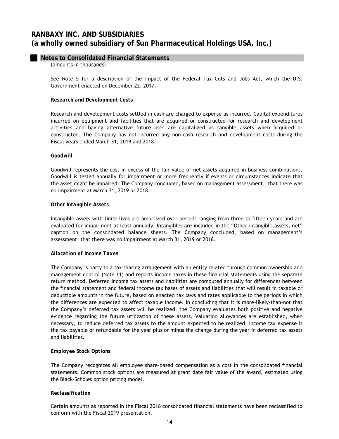### **Notes to Consolidated Financial Statements**

*(amounts in thousands)*

See Note 5 for a description of the impact of the Federal Tax Cuts and Jobs Act, which the U.S. Government enacted on December 22, 2017.

#### *Research and Development Costs*

Research and development costs settled in cash are charged to expense as incurred. Capital expenditures incurred on equipment and facilities that are acquired or constructed for research and development activities and having alternative future uses are capitalized as tangible assets when acquired or constructed. The Company has not incurred any non-cash research and development costs during the Fiscal years ended March 31, 2019 and 2018.

#### *Goodwill*

Goodwill represents the cost in excess of the fair value of net assets acquired in business combinations. Goodwill is tested annually for impairment or more frequently if events or circumstances indicate that the asset might be impaired. The Company concluded, based on management assessment, that there was no impairment at March 31, 2019 or 2018.

#### *Other Intangible Assets*

Intangible assets with finite lives are amortized over periods ranging from three to fifteen years and are evaluated for impairment at least annually. Intangibles are included in the "Other intangible assets, net" caption on the consolidated balance sheets. The Company concluded, based on management's assessment, that there was no impairment at March 31, 2019 or 2018.

#### *Allocation of Income Taxes*

The Company is party to a tax sharing arrangement with an entity related through common ownership and management control (Note 11) and reports income taxes in these financial statements using the separate return method. Deferred income tax assets and liabilities are computed annually for differences between the financial statement and federal income tax bases of assets and liabilities that will result in taxable or deductible amounts in the future, based on enacted tax laws and rates applicable to the periods in which the differences are expected to affect taxable income. In concluding that it is more-likely-than-not that the Company's deferred tax assets will be realized, the Company evaluates both positive and negative evidence regarding the future utilization of these assets. Valuation allowances are established, when necessary, to reduce deferred tax assets to the amount expected to be realized. Income tax expense is the tax payable or refundable for the year plus or minus the change during the year in deferred tax assets and liabilities.

#### *Employee Stock Options*

The Company recognizes all employee share-based compensation as a cost in the consolidated financial statements. Common stock options are measured at grant date fair value of the award, estimated using the Black-Scholes option pricing model.

#### *Reclassification*

Certain amounts as reported in the Fiscal 2018 consolidated financial statements have been reclassified to conform with the Fiscal 2019 presentation.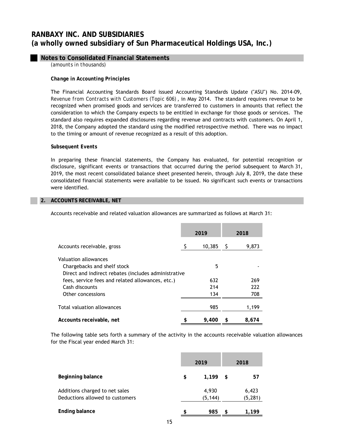### **Notes to Consolidated Financial Statements**

*(amounts in thousands)*

#### *Change in Accounting Principles*

The Financial Accounting Standards Board issued Accounting Standards Update ("ASU") No. 2014-09, *Revenue from Contracts with Customers (Topic 606)*, in May 2014. The standard requires revenue to be recognized when promised goods and services are transferred to customers in amounts that reflect the consideration to which the Company expects to be entitled in exchange for those goods or services. The standard also requires expanded disclosures regarding revenue and contracts with customers. On April 1, 2018, the Company adopted the standard using the modified retrospective method. There was no impact to the timing or amount of revenue recognized as a result of this adoption.

#### *Subsequent Events*

In preparing these financial statements, the Company has evaluated, for potential recognition or disclosure, significant events or transactions that occurred during the period subsequent to March 31, 2019, the most recent consolidated balance sheet presented herein, through July 8, 2019, the date these consolidated financial statements were available to be issued. No significant such events or transactions were identified.

#### **2. ACCOUNTS RECEIVABLE, NET**

Accounts receivable and related valuation allowances are summarized as follows at March 31:

|                                                      | 2019        | 2018 |       |  |
|------------------------------------------------------|-------------|------|-------|--|
| Accounts receivable, gross                           | 10,385      |      | 9,873 |  |
| Valuation allowances                                 |             |      |       |  |
| Chargebacks and shelf stock                          | 5           |      |       |  |
| Direct and indirect rebates (includes administrative |             |      |       |  |
| fees, service fees and related allowances, etc.)     | 632         |      | 269   |  |
| Cash discounts                                       | 214         |      | 222   |  |
| Other concessions                                    | 134         |      | 708   |  |
|                                                      |             |      |       |  |
| Total valuation allowances                           | 985         |      | 1,199 |  |
| Accounts receivable, net                             | \$<br>9,400 | S    | 8.674 |  |

The following table sets forth a summary of the activity in the accounts receivable valuation allowances for the Fiscal year ended March 31:

|                                                                   | 2019 |                   | 2018 |                   |
|-------------------------------------------------------------------|------|-------------------|------|-------------------|
| Beginning balance                                                 | \$   | 1.199             | - \$ | 57                |
| Additions charged to net sales<br>Deductions allowed to customers |      | 4,930<br>(5, 144) |      | 6,423<br>(5, 281) |
| <b>Ending balance</b>                                             | \$   | 985               |      | 1,199             |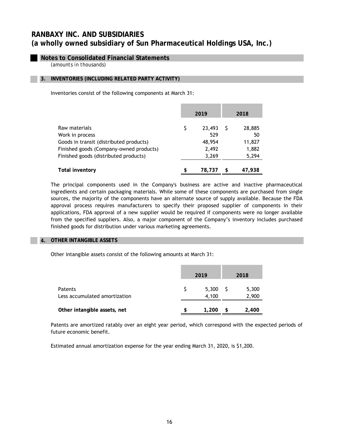### **Notes to Consolidated Financial Statements**

*(amounts in thousands)*

#### **3. INVENTORIES (INCLUDING RELATED PARTY ACTIVITY)**

Inventories consist of the following components at March 31:

|                                         | 2019 |        | 2018   |
|-----------------------------------------|------|--------|--------|
| Raw materials                           | S    | 23,493 | 28,885 |
| Work in process                         |      | 529    | 50     |
| Goods in transit (distributed products) |      | 48,954 | 11,827 |
| Finished goods (Company-owned products) |      | 2,492  | 1,882  |
| Finished goods (distributed products)   |      | 3,269  | 5,294  |
| <b>Total inventory</b>                  | \$   | 78,737 | 47,938 |

The principal components used in the Company's business are active and inactive pharmaceutical ingredients and certain packaging materials. While some of these components are purchased from single sources, the majority of the components have an alternate source of supply available. Because the FDA approval process requires manufacturers to specify their proposed supplier of components in their applications, FDA approval of a new supplier would be required if components were no longer available from the specified suppliers. Also, a major component of the Company's inventory includes purchased finished goods for distribution under various marketing agreements.

#### **4. OTHER INTANGIBLE ASSETS**

Other intangible assets consist of the following amounts at March 31:

|                                          |   | 2019           | 2018 |                |  |
|------------------------------------------|---|----------------|------|----------------|--|
| Patents<br>Less accumulated amortization |   | 5,300<br>4,100 |      | 5,300<br>2,900 |  |
| Other intangible assets, net             | S | 1,200          |      | 2,400          |  |

Patents are amortized ratably over an eight year period, which correspond with the expected periods of future economic benefit.

Estimated annual amortization expense for the year ending March 31, 2020, is \$1,200.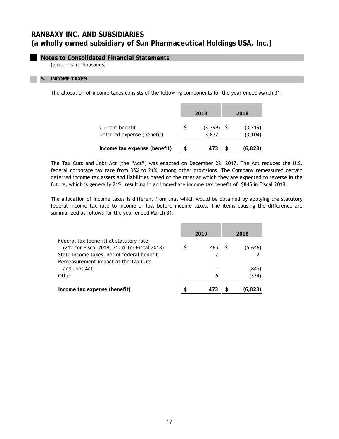### **Notes to Consolidated Financial Statements**

*(amounts in thousands)*

#### **5. INCOME TAXES**

The allocation of income taxes consists of the following components for the year ended March 31:

|                                               | 2019                  | 2018               |
|-----------------------------------------------|-----------------------|--------------------|
| Current benefit<br>Deferred expense (benefit) | $(3,399)$ \$<br>3,872 | (3,719)<br>(3,104) |
| Income tax expense (benefit)                  | 473                   | (6,823)            |

The Tax Cuts and Jobs Act (the "Act") was enacted on December 22, 2017. The Act reduces the U.S. federal corporate tax rate from 35% to 21%, among other provisions. The Company remeasured certain deferred income tax assets and liabilities based on the rates at which they are expected to reverse in the future, which is generally 21%, resulting in an immediate income tax benefit of \$845 in Fiscal 2018.

The allocation of income taxes is different from that which would be obtained by applying the statutory federal income tax rate to income or loss before income taxes. The items causing the difference are summarized as follows for the year ended March 31:

|                                                                                                                                       | 2019 | 2018 |         |
|---------------------------------------------------------------------------------------------------------------------------------------|------|------|---------|
| Federal tax (benefit) at statutory rate<br>(21% for Fiscal 2019, 31.5% for Fiscal 2018)<br>State income taxes, net of federal benefit | 465  |      | (5,646) |
| Remeasurement impact of the Tax Cuts<br>and Jobs Act                                                                                  | ۰    |      | (845)   |
| Other                                                                                                                                 | 6    |      | (334)   |
| Income tax expense (benefit)                                                                                                          |      |      | (6,823) |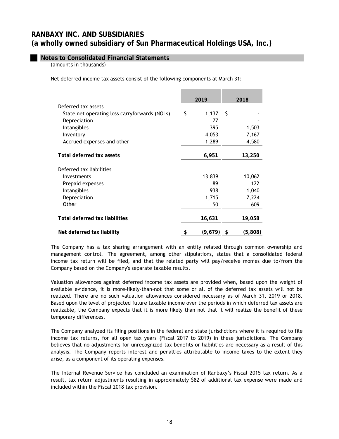### **Notes to Consolidated Financial Statements**

*(amounts in thousands)*

Net deferred income tax assets consist of the following components at March 31:

|                                                                                                                                                | 2019 |                                                 | 2018 |                                        |
|------------------------------------------------------------------------------------------------------------------------------------------------|------|-------------------------------------------------|------|----------------------------------------|
| Deferred tax assets<br>State net operating loss carryforwards (NOLs)<br>Depreciation<br>Intangibles<br>Inventory<br>Accrued expenses and other | \$   | $1,137 \quad$ \$<br>77<br>395<br>4,053<br>1,289 |      | 1,503<br>7,167<br>4,580                |
| Total deferred tax assets                                                                                                                      |      | 6,951                                           |      | 13,250                                 |
| Deferred tax liabilities<br>Investments<br>Prepaid expenses<br>Intangibles<br>Depreciation<br>Other                                            |      | 13,839<br>89<br>938<br>1,715<br>50              |      | 10,062<br>122<br>1,040<br>7,224<br>609 |
| <b>Total deferred tax liabilities</b>                                                                                                          |      | 16,631                                          |      | 19,058                                 |
| Net deferred tax liability                                                                                                                     | \$   | (9,679)                                         | \$   | (5,808)                                |

The Company has a tax sharing arrangement with an entity related through common ownership and management control. The agreement, among other stipulations, states that a consolidated federal income tax return will be filed, and that the related party will pay/receive monies due to/from the Company based on the Company's separate taxable results.

Valuation allowances against deferred income tax assets are provided when, based upon the weight of available evidence, it is more-likely-than-not that some or all of the deferred tax assets will not be realized. There are no such valuation allowances considered necessary as of March 31, 2019 or 2018. Based upon the level of projected future taxable income over the periods in which deferred tax assets are realizable, the Company expects that it is more likely than not that it will realize the benefit of these temporary differences.

The Company analyzed its filing positions in the federal and state jurisdictions where it is required to file income tax returns, for all open tax years (Fiscal 2017 to 2019) in these jurisdictions. The Company believes that no adjustments for unrecognized tax benefits or liabilities are necessary as a result of this analysis. The Company reports interest and penalties attributable to income taxes to the extent they arise, as a component of its operating expenses.

The Internal Revenue Service has concluded an examination of Ranbaxy's Fiscal 2015 tax return. As a result, tax return adjustments resulting in approximately \$82 of additional tax expense were made and included within the Fiscal 2018 tax provision.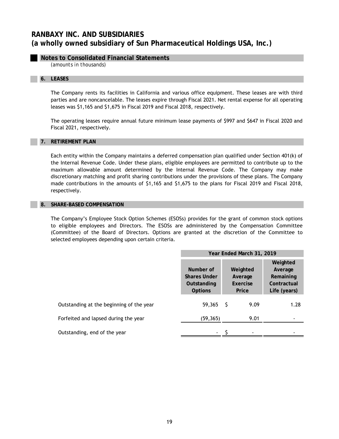### **Notes to Consolidated Financial Statements**

*(amounts in thousands)*

#### **6. LEASES**

The Company rents its facilities in California and various office equipment. These leases are with third parties and are noncancelable. The leases expire through Fiscal 2021. Net rental expense for all operating leases was \$1,165 and \$1,675 in Fiscal 2019 and Fiscal 2018, respectively.

The operating leases require annual future minimum lease payments of \$997 and \$647 in Fiscal 2020 and Fiscal 2021, respectively.

#### **7. RETIREMENT PLAN**

Each entity within the Company maintains a deferred compensation plan qualified under Section 401(k) of the Internal Revenue Code. Under these plans, eligible employees are permitted to contribute up to the maximum allowable amount determined by the Internal Revenue Code. The Company may make discretionary matching and profit sharing contributions under the provisions of these plans. The Company made contributions in the amounts of \$1,165 and \$1,675 to the plans for Fiscal 2019 and Fiscal 2018, respectively.

#### **8. SHARE-BASED COMPENSATION**

The Company's Employee Stock Option Schemes (ESOSs) provides for the grant of common stock options to eligible employees and Directors. The ESOSs are administered by the Compensation Committee (Committee) of the Board of Directors. Options are granted at the discretion of the Committee to selected employees depending upon certain criteria.

|                                          | Year Ended March 31, 2019                       |   |                                 |                                                 |  |  |  |  |
|------------------------------------------|-------------------------------------------------|---|---------------------------------|-------------------------------------------------|--|--|--|--|
|                                          | Number of<br><b>Shares Under</b><br>Outstanding |   | Weighted<br>Average<br>Exercise | Weighted<br>Average<br>Remaining<br>Contractual |  |  |  |  |
|                                          | <b>Options</b>                                  |   | Price                           | Life (years)                                    |  |  |  |  |
| Outstanding at the beginning of the year | 59,365                                          | S | 9.09                            | 1.28                                            |  |  |  |  |
| Forfeited and lapsed during the year     | (59,365)                                        |   | 9.01                            |                                                 |  |  |  |  |
| Outstanding, end of the year             |                                                 |   |                                 |                                                 |  |  |  |  |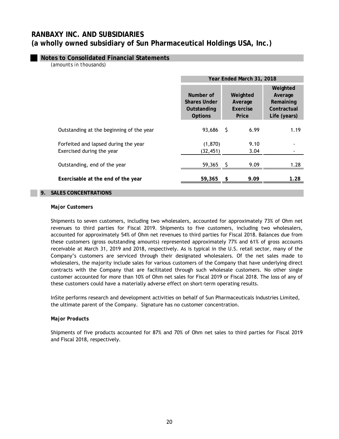### **Notes to Consolidated Financial Statements**

*(amounts in thousands)*

|                                                                   | Year Ended March 31, 2018                                         |     |              |                      |  |  |  |  |
|-------------------------------------------------------------------|-------------------------------------------------------------------|-----|--------------|----------------------|--|--|--|--|
|                                                                   | Number of<br><b>Shares Under</b><br>Outstanding<br><b>Options</b> |     |              |                      |  |  |  |  |
| Outstanding at the beginning of the year                          | 93,686                                                            | - S | 6.99         | Life (years)<br>1.19 |  |  |  |  |
| Forfeited and lapsed during the year<br>Exercised during the year | (1, 870)<br>(32, 451)                                             |     | 9.10<br>3.04 |                      |  |  |  |  |
| Outstanding, end of the year                                      | 59,365                                                            |     | 9.09         | 1.28                 |  |  |  |  |
| Exercisable at the end of the year                                | 59,365                                                            | \$. | 9.09         | 1.28                 |  |  |  |  |

#### **9. SALES CONCENTRATIONS**

#### *Major Customers*

Shipments to seven customers, including two wholesalers, accounted for approximately 73% of Ohm net revenues to third parties for Fiscal 2019. Shipments to five customers, including two wholesalers, accounted for approximately 54% of Ohm net revenues to third parties for Fiscal 2018. Balances due from these customers (gross outstanding amounts) represented approximately 77% and 61% of gross accounts receivable at March 31, 2019 and 2018, respectively. As is typical in the U.S. retail sector, many of the Company's customers are serviced through their designated wholesalers. Of the net sales made to wholesalers, the majority include sales for various customers of the Company that have underlying direct contracts with the Company that are facilitated through such wholesale customers. No other single customer accounted for more than 10% of Ohm net sales for Fiscal 2019 or Fiscal 2018. The loss of any of these customers could have a materially adverse effect on short-term operating results.

InSite performs research and development activities on behalf of Sun Pharmaceuticals Industries Limited, the ultimate parent of the Company. Signature has no customer concentration.

#### *Major Products*

Shipments of five products accounted for 87% and 70% of Ohm net sales to third parties for Fiscal 2019 and Fiscal 2018, respectively.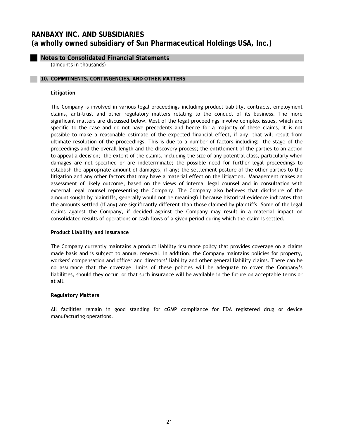#### **Notes to Consolidated Financial Statements**

*(amounts in thousands)*

#### **10. COMMITMENTS, CONTINGENCIES, AND OTHER MATTERS**

#### *Litigation*

The Company is involved in various legal proceedings including product liability, contracts, employment claims, anti-trust and other regulatory matters relating to the conduct of its business. The more significant matters are discussed below. Most of the legal proceedings involve complex issues, which are specific to the case and do not have precedents and hence for a majority of these claims, it is not possible to make a reasonable estimate of the expected financial effect, if any, that will result from ultimate resolution of the proceedings. This is due to a number of factors including: the stage of the proceedings and the overall length and the discovery process; the entitlement of the parties to an action to appeal a decision; the extent of the claims, including the size of any potential class, particularly when damages are not specified or are indeterminate; the possible need for further legal proceedings to establish the appropriate amount of damages, if any; the settlement posture of the other parties to the litigation and any other factors that may have a material effect on the litigation. Management makes an assessment of likely outcome, based on the views of internal legal counsel and in consultation with external legal counsel representing the Company. The Company also believes that disclosure of the amount sought by plaintiffs, generally would not be meaningful because historical evidence indicates that the amounts settled (if any) are significantly different than those claimed by plaintiffs. Some of the legal claims against the Company, if decided against the Company may result in a material impact on consolidated results of operations or cash flows of a given period during which the claim is settled.

#### *Product Liability and Insurance*

The Company currently maintains a product liability insurance policy that provides coverage on a claims made basis and is subject to annual renewal. In addition, the Company maintains policies for property, workers' compensation and officer and directors' liability and other general liability claims. There can be no assurance that the coverage limits of these policies will be adequate to cover the Company's liabilities, should they occur, or that such insurance will be available in the future on acceptable terms or at all.

#### *Regulatory Matters*

All facilities remain in good standing for cGMP compliance for FDA registered drug or device manufacturing operations.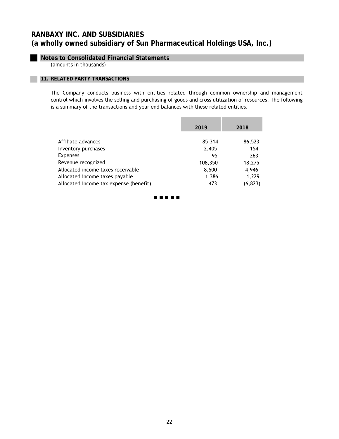### **Notes to Consolidated Financial Statements**

*(amounts in thousands)*

#### **11. RELATED PARTY TRANSACTIONS**

The Company conducts business with entities related through common ownership and management control which involves the selling and purchasing of goods and cross utilization of resources. The following is a summary of the transactions and year end balances with these related entities.

|                                                                     | 2019                   | 2018           |
|---------------------------------------------------------------------|------------------------|----------------|
| Affiliate advances                                                  | 85,314                 | 86,523<br>154  |
| Inventory purchases<br><b>Expenses</b><br>Revenue recognized        | 2,405<br>95<br>108,350 | 263<br>18,275  |
| Allocated income taxes receivable<br>Allocated income taxes payable | 8,500<br>1,386         | 4,946<br>1,229 |
| Allocated income tax expense (benefit)                              | 473                    | (6, 823)       |

. . . . .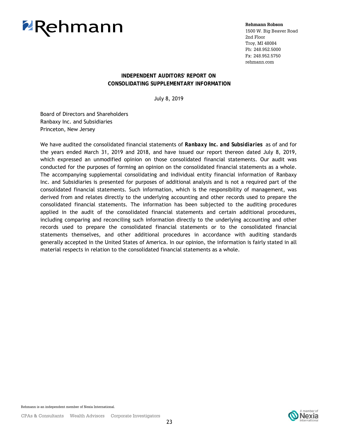

**Rehmann Robson**

1500 W. Big Beaver Road 2nd Floor Troy, MI 48084 Ph: 248.952.5000 Fx: 248.952.5750 rehmann.com

### **INDEPENDENT AUDITORS' REPORT ON CONSOLIDATING SUPPLEMENTARY INFORMATION**

July 8, 2019

 Ranbaxy Inc. and Subsidiaries Board of Directors and Shareholders Princeton, New Jersey

We have audited the consolidated financial statements of *Ranbaxy Inc. and Subsidiaries* as of and for the years ended March 31, 2019 and 2018, and have issued our report thereon dated July 8, 2019, which expressed an unmodified opinion on those consolidated financial statements. Our audit was conducted for the purposes of forming an opinion on the consolidated financial statements as a whole. The accompanying supplemental consolidating and individual entity financial information of Ranbaxy Inc. and Subsidiaries is presented for purposes of additional analysis and is not a required part of the consolidated financial statements. Such information, which is the responsibility of management, was derived from and relates directly to the underlying accounting and other records used to prepare the consolidated financial statements. The information has been subjected to the auditing procedures applied in the audit of the consolidated financial statements and certain additional procedures, including comparing and reconciling such information directly to the underlying accounting and other records used to prepare the consolidated financial statements or to the consolidated financial statements themselves, and other additional procedures in accordance with auditing standards generally accepted in the United States of America. In our opinion, the information is fairly stated in all material respects in relation to the consolidated financial statements as a whole.

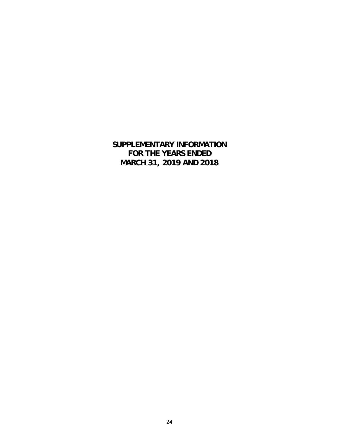**SUPPLEMENTARY INFORMATION FOR THE YEARS ENDED MARCH 31, 2019 AND 2018**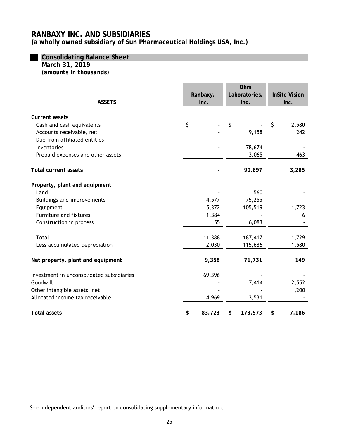**(a wholly owned subsidiary of Sun Pharmaceutical Holdings USA, Inc.)**

### **Consolidating Balance Sheet**

**March 31, 2019** *(amounts in thousands)*

| <b>ASSETS</b>                             | Ranbaxy, | Ohm<br>Laboratories,<br>Inc.<br>Inc. |             |
|-------------------------------------------|----------|--------------------------------------|-------------|
|                                           |          |                                      | Inc.        |
| <b>Current assets</b>                     |          |                                      |             |
| Cash and cash equivalents                 | \$       | \$                                   | \$<br>2,580 |
| Accounts receivable, net                  |          | 9,158                                | 242         |
| Due from affiliated entities              |          |                                      |             |
| Inventories                               |          | 78,674                               |             |
| Prepaid expenses and other assets         |          | 3,065                                | 463         |
| <b>Total current assets</b>               |          | 90,897                               | 3,285       |
| Property, plant and equipment             |          |                                      |             |
| Land                                      |          | 560                                  |             |
| Buildings and improvements                | 4,577    | 75,255                               |             |
| Equipment                                 | 5,372    | 105,519                              | 1,723       |
| Furniture and fixtures                    | 1,384    |                                      | 6           |
| Construction in process                   | 55       | 6,083                                |             |
| <b>Total</b>                              | 11,388   | 187,417                              | 1,729       |
| Less accumulated depreciation             | 2,030    | 115,686                              | 1,580       |
| Net property, plant and equipment         | 9,358    | 71,731                               | 149         |
| Investment in unconsolidated subsidiaries | 69,396   |                                      |             |
| Goodwill                                  |          | 7,414                                | 2,552       |
| Other intangible assets, net              |          |                                      | 1,200       |
| Allocated income tax receivable           | 4,969    | 3,531                                |             |
| <b>Total assets</b>                       | 83,723   | <u>173,573</u>                       | 7,186       |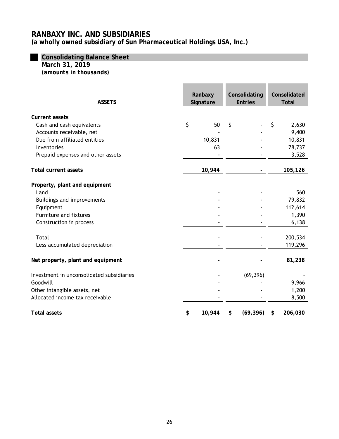**(a wholly owned subsidiary of Sun Pharmaceutical Holdings USA, Inc.)**

### **Consolidating Balance Sheet**

**March 31, 2019** *(amounts in thousands)*

| <b>ASSETS</b>                                      | Ranbaxy<br>Signature |        | Consolidating<br><b>Entries</b> |           |      | Consolidated<br><b>Total</b> |
|----------------------------------------------------|----------------------|--------|---------------------------------|-----------|------|------------------------------|
| <b>Current assets</b><br>Cash and cash equivalents | \$                   | 50     | \$                              |           | \$   | 2,630                        |
| Accounts receivable, net                           |                      |        |                                 |           |      | 9,400                        |
| Due from affiliated entities                       |                      | 10,831 |                                 |           |      | 10,831                       |
| Inventories                                        |                      | 63     |                                 |           |      | 78,737                       |
| Prepaid expenses and other assets                  |                      |        |                                 |           |      | 3,528                        |
| <b>Total current assets</b>                        |                      | 10,944 |                                 |           |      | 105,126                      |
| Property, plant and equipment                      |                      |        |                                 |           |      |                              |
| Land                                               |                      |        |                                 |           |      | 560                          |
| Buildings and improvements                         |                      |        |                                 |           |      | 79,832                       |
| Equipment                                          |                      |        |                                 |           |      | 112,614                      |
| Furniture and fixtures                             |                      |        |                                 |           |      | 1,390                        |
| Construction in process                            |                      |        |                                 |           |      | 6,138                        |
| Total                                              |                      |        |                                 |           |      | 200,534                      |
| Less accumulated depreciation                      |                      |        |                                 |           |      | 119,296                      |
| Net property, plant and equipment                  |                      |        |                                 |           |      | 81,238                       |
| Investment in unconsolidated subsidiaries          |                      |        |                                 | (69, 396) |      |                              |
| Goodwill                                           |                      |        |                                 |           |      | 9,966                        |
| Other intangible assets, net                       |                      |        |                                 |           |      | 1,200                        |
| Allocated income tax receivable                    |                      |        |                                 |           |      | 8,500                        |
| <b>Total assets</b>                                | \$                   | 10,944 | \$                              | (69, 396) | - \$ | 206,030                      |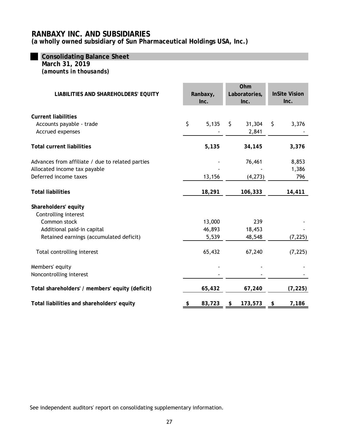**(a wholly owned subsidiary of Sun Pharmaceutical Holdings USA, Inc.)**

**Consolidating Balance Sheet**

**March 31, 2019** *(amounts in thousands)*

| <b>LIABILITIES AND SHAREHOLDERS' EQUITY</b>                                      | Ranbaxy,<br>Inc. |        |                       |                |  |  | Ohm<br>Laboratories,<br>Inc. | <b>InSite Vision</b><br>Inc. |
|----------------------------------------------------------------------------------|------------------|--------|-----------------------|----------------|--|--|------------------------------|------------------------------|
| <b>Current liabilities</b>                                                       |                  |        |                       |                |  |  |                              |                              |
| Accounts payable - trade<br>Accrued expenses                                     | \$               | 5,135  | \$<br>31,304<br>2,841 | \$<br>3,376    |  |  |                              |                              |
| <b>Total current liabilities</b>                                                 |                  | 5,135  | 34,145                | 3,376          |  |  |                              |                              |
| Advances from affiliate / due to related parties<br>Allocated income tax payable |                  |        | 76,461                | 8,853<br>1,386 |  |  |                              |                              |
| Deferred income taxes                                                            |                  | 13,156 | (4, 273)              | 796            |  |  |                              |                              |
| <b>Total liabilities</b>                                                         |                  | 18,291 | 106,333               | 14,411         |  |  |                              |                              |
| Shareholders' equity                                                             |                  |        |                       |                |  |  |                              |                              |
| Controlling interest                                                             |                  |        |                       |                |  |  |                              |                              |
| Common stock                                                                     |                  | 13,000 | 239                   |                |  |  |                              |                              |
| Additional paid-in capital                                                       |                  | 46,893 | 18,453                |                |  |  |                              |                              |
| Retained earnings (accumulated deficit)                                          |                  | 5,539  | 48,548                | (7, 225)       |  |  |                              |                              |
| Total controlling interest                                                       |                  | 65,432 | 67,240                | (7, 225)       |  |  |                              |                              |
| Members' equity                                                                  |                  |        |                       |                |  |  |                              |                              |
| Noncontrolling interest                                                          |                  |        |                       |                |  |  |                              |                              |
| Total shareholders' / members' equity (deficit)                                  |                  | 65,432 | 67,240                | (7, 225)       |  |  |                              |                              |
| Total liabilities and shareholders' equity                                       | \$               | 83,723 | \$<br>173,573         | \$<br>7,186    |  |  |                              |                              |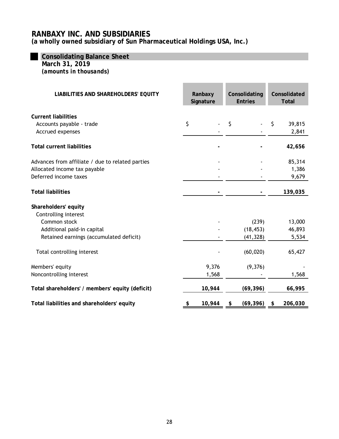**(a wholly owned subsidiary of Sun Pharmaceutical Holdings USA, Inc.)**

**Consolidating Balance Sheet**

**March 31, 2019** *(amounts in thousands)*

| LIABILITIES AND SHAREHOLDERS' EQUITY             | Ranbaxy<br>Signature |        | Consolidating<br><b>Entries</b> |           | Consolidated<br><b>Total</b> |
|--------------------------------------------------|----------------------|--------|---------------------------------|-----------|------------------------------|
| <b>Current liabilities</b>                       |                      |        |                                 |           |                              |
| Accounts payable - trade                         | \$                   |        | \$                              |           | \$<br>39,815                 |
| Accrued expenses                                 |                      |        |                                 |           | 2,841                        |
| <b>Total current liabilities</b>                 |                      |        |                                 |           | 42,656                       |
| Advances from affiliate / due to related parties |                      |        |                                 |           | 85,314                       |
| Allocated income tax payable                     |                      |        |                                 |           | 1,386                        |
| Deferred income taxes                            |                      |        |                                 |           | 9,679                        |
| <b>Total liabilities</b>                         |                      |        |                                 |           | 139,035                      |
| Shareholders' equity                             |                      |        |                                 |           |                              |
| Controlling interest                             |                      |        |                                 |           |                              |
| Common stock                                     |                      |        |                                 | (239)     | 13,000                       |
| Additional paid-in capital                       |                      |        |                                 | (18, 453) | 46,893                       |
| Retained earnings (accumulated deficit)          |                      |        |                                 | (41, 328) | 5,534                        |
| Total controlling interest                       |                      |        |                                 | (60, 020) | 65,427                       |
| Members' equity                                  |                      | 9,376  |                                 | (9,376)   |                              |
| Noncontrolling interest                          |                      | 1,568  |                                 |           | 1,568                        |
| Total shareholders' / members' equity (deficit)  |                      | 10,944 |                                 | (69, 396) | 66,995                       |
| Total liabilities and shareholders' equity       | \$                   | 10,944 | \$                              | (69, 396) | \$<br>206,030                |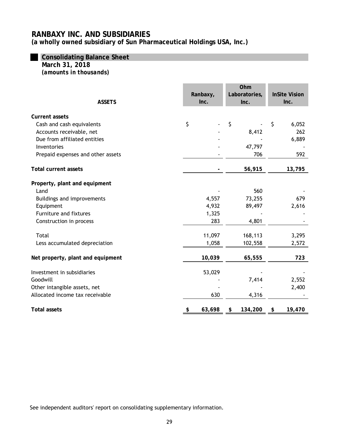**(a wholly owned subsidiary of Sun Pharmaceutical Holdings USA, Inc.)**

### **Consolidating Balance Sheet**

**March 31, 2018** *(amounts in thousands)*

|                                                          |              | Ohm           |                      |
|----------------------------------------------------------|--------------|---------------|----------------------|
|                                                          | Ranbaxy,     | Laboratories, | <b>InSite Vision</b> |
| <b>ASSETS</b>                                            | Inc.         | Inc.          | Inc.                 |
|                                                          |              |               |                      |
| <b>Current assets</b>                                    |              |               |                      |
| Cash and cash equivalents                                | \$           | \$            | \$<br>6,052          |
| Accounts receivable, net<br>Due from affiliated entities |              | 8,412         | 262                  |
|                                                          |              |               | 6,889                |
| Inventories                                              |              | 47,797<br>706 |                      |
| Prepaid expenses and other assets                        |              |               | 592                  |
| <b>Total current assets</b>                              |              | 56,915        | 13,795               |
| Property, plant and equipment                            |              |               |                      |
| Land                                                     |              | 560           |                      |
| Buildings and improvements                               | 4,557        | 73,255        | 679                  |
| Equipment                                                | 4,932        | 89,497        | 2,616                |
| Furniture and fixtures                                   | 1,325        |               |                      |
| Construction in process                                  | 283          | 4,801         |                      |
|                                                          |              |               |                      |
| <b>Total</b>                                             | 11,097       | 168,113       | 3,295                |
| Less accumulated depreciation                            | 1,058        | 102,558       | 2,572                |
| Net property, plant and equipment                        | 10,039       | 65,555        | 723                  |
| Investment in subsidiaries                               | 53,029       |               |                      |
| Goodwill                                                 |              | 7,414         | 2,552                |
| Other intangible assets, net                             |              |               | 2,400                |
| Allocated income tax receivable                          | 630          | 4,316         |                      |
| <b>Total assets</b>                                      | \$<br>63,698 | 134,200<br>\$ | 19,470<br>\$         |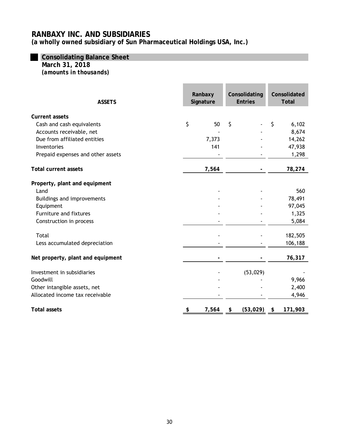**(a wholly owned subsidiary of Sun Pharmaceutical Holdings USA, Inc.)**

### **Consolidating Balance Sheet**

**March 31, 2018** *(amounts in thousands)*

| <b>ASSETS</b>                                      | Ranbaxy<br>Signature |       | Consolidating<br><b>Entries</b> |           | Consolidated<br><b>Total</b> |
|----------------------------------------------------|----------------------|-------|---------------------------------|-----------|------------------------------|
| <b>Current assets</b><br>Cash and cash equivalents | \$                   | 50    | \$                              |           | \$<br>6,102                  |
| Accounts receivable, net                           |                      |       |                                 |           | 8,674                        |
| Due from affiliated entities                       |                      | 7,373 |                                 |           | 14,262                       |
| Inventories                                        |                      | 141   |                                 |           | 47,938                       |
| Prepaid expenses and other assets                  |                      |       |                                 |           | 1,298                        |
| <b>Total current assets</b>                        |                      | 7,564 |                                 |           | 78,274                       |
| Property, plant and equipment                      |                      |       |                                 |           |                              |
| Land                                               |                      |       |                                 |           | 560                          |
| Buildings and improvements                         |                      |       |                                 |           | 78,491                       |
| Equipment                                          |                      |       |                                 |           | 97,045                       |
| Furniture and fixtures                             |                      |       |                                 |           | 1,325                        |
| Construction in process                            |                      |       |                                 |           | 5,084                        |
| Total                                              |                      |       |                                 |           | 182,505                      |
| Less accumulated depreciation                      |                      |       |                                 |           | 106,188                      |
| Net property, plant and equipment                  |                      |       |                                 |           | 76,317                       |
| Investment in subsidiaries                         |                      |       |                                 | (53,029)  |                              |
| Goodwill                                           |                      |       |                                 |           | 9,966                        |
| Other intangible assets, net                       |                      |       |                                 |           | 2,400                        |
| Allocated income tax receivable                    |                      |       |                                 |           | 4,946                        |
| <b>Total assets</b>                                | \$                   | 7,564 | \$                              | (53, 029) | \$<br>171,903                |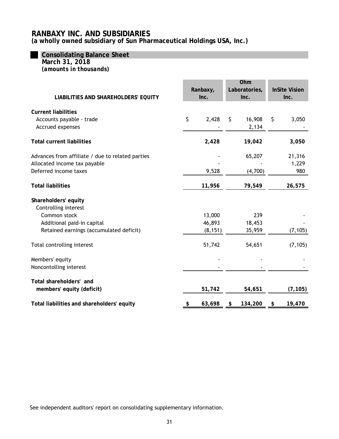**(a wholly owned subsidiary of Sun Pharmaceutical Holdings USA, Inc.)**

**Consolidating Balance Sheet**

**March 31, 2018** *(amounts in thousands)*

| <b>LIABILITIES AND SHAREHOLDERS' EQUITY</b>      | Ranbaxy,<br>Inc. |          | Ohm<br>Laboratories,<br>Inc. |                 | <b>InSite Vision</b><br>Inc. |          |
|--------------------------------------------------|------------------|----------|------------------------------|-----------------|------------------------------|----------|
| <b>Current liabilities</b>                       |                  |          |                              |                 |                              |          |
| Accounts payable - trade<br>Accrued expenses     | \$               | 2,428    | \$                           | 16,908<br>2,134 | \$                           | 3,050    |
| <b>Total current liabilities</b>                 |                  | 2,428    |                              | 19,042          |                              | 3,050    |
| Advances from affiliate / due to related parties |                  |          |                              | 65,207          |                              | 21,316   |
| Allocated income tax payable                     |                  |          |                              |                 |                              | 1,229    |
| Deferred income taxes                            |                  | 9,528    |                              | (4,700)         |                              | 980      |
| <b>Total liabilities</b>                         |                  | 11,956   |                              | 79,549          |                              | 26,575   |
| Shareholders' equity                             |                  |          |                              |                 |                              |          |
| Controlling interest                             |                  |          |                              |                 |                              |          |
| Common stock                                     |                  | 13,000   |                              | 239             |                              |          |
| Additional paid-in capital                       |                  | 46,893   |                              | 18,453          |                              |          |
| Retained earnings (accumulated deficit)          |                  | (8, 151) |                              | 35,959          |                              | (7, 105) |
| Total controlling interest                       |                  | 51,742   |                              | 54,651          |                              | (7, 105) |
| Members' equity                                  |                  |          |                              |                 |                              |          |
| Noncontolling interest                           |                  |          |                              |                 |                              |          |
| Total shareholders' and                          |                  |          |                              |                 |                              |          |
| members' equity (deficit)                        |                  | 51,742   |                              | 54,651          |                              | (7, 105) |
| Total liabilities and shareholders' equity       | \$               | 63,698   | \$                           | 134,200         | \$                           | 19,470   |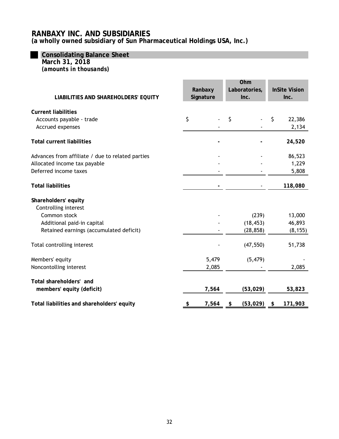**(a wholly owned subsidiary of Sun Pharmaceutical Holdings USA, Inc.)**

**Consolidating Balance Sheet**

**March 31, 2018** *(amounts in thousands)*

| LIABILITIES AND SHAREHOLDERS' EQUITY             | Ranbaxy<br>Signature |       | Ohm<br>Laboratories,<br>Inc. |           | <b>InSite Vision</b><br>Inc. |          |
|--------------------------------------------------|----------------------|-------|------------------------------|-----------|------------------------------|----------|
| <b>Current liabilities</b>                       |                      |       |                              |           |                              |          |
| Accounts payable - trade                         | \$                   |       | \$                           |           | \$                           | 22,386   |
| Accrued expenses                                 |                      |       |                              |           |                              | 2,134    |
| <b>Total current liabilities</b>                 |                      |       |                              |           |                              | 24,520   |
| Advances from affiliate / due to related parties |                      |       |                              |           |                              | 86,523   |
| Allocated income tax payable                     |                      |       |                              |           |                              | 1,229    |
| Deferred income taxes                            |                      |       |                              |           |                              | 5,808    |
| <b>Total liabilities</b>                         |                      |       |                              |           |                              | 118,080  |
| Shareholders' equity                             |                      |       |                              |           |                              |          |
| Controlling interest                             |                      |       |                              |           |                              |          |
| Common stock                                     |                      |       |                              | (239)     |                              | 13,000   |
| Additional paid-in capital                       |                      |       |                              | (18, 453) |                              | 46,893   |
| Retained earnings (accumulated deficit)          |                      |       |                              | (28, 858) |                              | (8, 155) |
| Total controlling interest                       |                      |       |                              | (47, 550) |                              | 51,738   |
| Members' equity                                  |                      | 5,479 |                              | (5, 479)  |                              |          |
| Noncontolling interest                           |                      | 2,085 |                              |           |                              | 2,085    |
| Total shareholders' and                          |                      |       |                              |           |                              |          |
| members' equity (deficit)                        |                      | 7,564 |                              | (53, 029) |                              | 53,823   |
| Total liabilities and shareholders' equity       | \$                   | 7,564 | \$                           | (53, 029) | \$                           | 171,903  |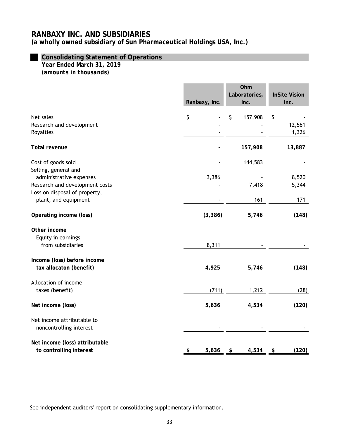**(a wholly owned subsidiary of Sun Pharmaceutical Holdings USA, Inc.)**

### **Consolidating Statement of Operations**

**Year Ended March 31, 2019** *(amounts in thousands)*

|                                |               | Ohm           |                      |
|--------------------------------|---------------|---------------|----------------------|
|                                |               | Laboratories, | <b>InSite Vision</b> |
|                                | Ranbaxy, Inc. | Inc.          | Inc.                 |
| Net sales                      | \$            | \$<br>157,908 | \$                   |
| Research and development       |               |               | 12,561               |
| Royalties                      |               |               | 1,326                |
|                                |               |               |                      |
| <b>Total revenue</b>           |               | 157,908       | 13,887               |
| Cost of goods sold             |               | 144,583       |                      |
| Selling, general and           |               |               |                      |
| administrative expenses        | 3,386         |               | 8,520                |
| Research and development costs |               | 7,418         | 5,344                |
| Loss on disposal of property,  |               |               |                      |
| plant, and equipment           |               | 161           | 171                  |
| <b>Operating income (loss)</b> | (3, 386)      | 5,746         | (148)                |
| Other income                   |               |               |                      |
| Equity in earnings             |               |               |                      |
| from subsidiaries              | 8,311         |               |                      |
| Income (loss) before income    |               |               |                      |
| tax allocaton (benefit)        | 4,925         | 5,746         | (148)                |
| Allocation of income           |               |               |                      |
| taxes (benefit)                | (711)         | 1,212         | (28)                 |
| Net income (loss)              | 5,636         | 4,534         | (120)                |
| Net income attributable to     |               |               |                      |
| noncontrolling interest        |               |               |                      |
| Net income (loss) attributable |               |               |                      |
| to controlling interest        | 5,636<br>\$   | 4,534<br>\$   | (120)<br>\$          |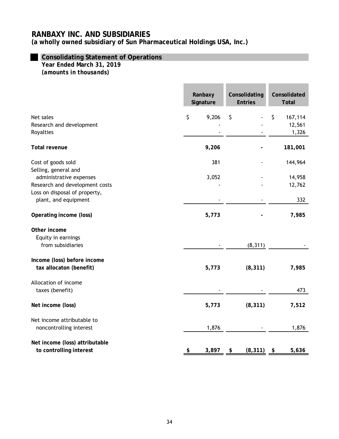**(a wholly owned subsidiary of Sun Pharmaceutical Holdings USA, Inc.)**

### **Consolidating Statement of Operations**

**Year Ended March 31, 2019** *(amounts in thousands)*

|                                                           | Ranbaxy<br>Signature | Consolidating<br><b>Entries</b> | Consolidated<br><b>Total</b>     |
|-----------------------------------------------------------|----------------------|---------------------------------|----------------------------------|
| Net sales<br>Research and development<br>Royalties        | \$<br>9,206          | \$                              | \$<br>167,114<br>12,561<br>1,326 |
| <b>Total revenue</b>                                      | 9,206                |                                 | 181,001                          |
| Cost of goods sold<br>Selling, general and                | 381                  |                                 | 144,964                          |
| administrative expenses<br>Research and development costs | 3,052                |                                 | 14,958<br>12,762                 |
| Loss on disposal of property,<br>plant, and equipment     |                      |                                 | 332                              |
| Operating income (loss)                                   | 5,773                |                                 | 7,985                            |
| Other income<br>Equity in earnings<br>from subsidiaries   |                      | (8, 311)                        |                                  |
| Income (loss) before income                               |                      |                                 |                                  |
| tax allocaton (benefit)                                   | 5,773                | (8, 311)                        | 7,985                            |
| Allocation of income<br>taxes (benefit)                   |                      |                                 | 473                              |
| Net income (loss)                                         | 5,773                | (8, 311)                        | 7,512                            |
| Net income attributable to<br>noncontrolling interest     | 1,876                |                                 | 1,876                            |
| Net income (loss) attributable<br>to controlling interest | 3,897<br>\$          | (8, 311)<br>\$                  | 5,636<br>\$                      |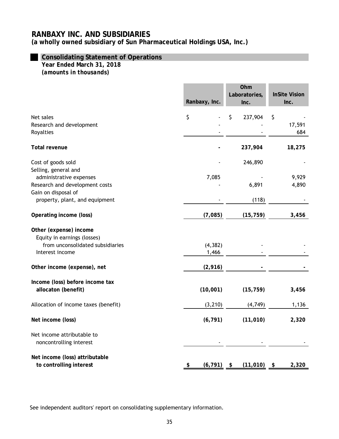**(a wholly owned subsidiary of Sun Pharmaceutical Holdings USA, Inc.)**

### **Consolidating Statement of Operations**

**Year Ended March 31, 2018** *(amounts in thousands)*

|                                                       |                | Ohm                        |                              |
|-------------------------------------------------------|----------------|----------------------------|------------------------------|
|                                                       | Ranbaxy, Inc.  | Laboratories,<br>Inc.      | <b>InSite Vision</b><br>Inc. |
|                                                       |                |                            |                              |
| Net sales                                             | \$             | \$<br>237,904              | \$                           |
| Research and development                              |                |                            | 17,591                       |
| Royalties                                             |                |                            | 684                          |
| <b>Total revenue</b>                                  |                | 237,904                    | 18,275                       |
| Cost of goods sold                                    |                | 246,890                    |                              |
| Selling, general and                                  |                |                            |                              |
| administrative expenses                               | 7,085          |                            | 9,929                        |
| Research and development costs<br>Gain on disposal of |                | 6,891                      | 4,890                        |
| property, plant, and equipment                        |                | (118)                      |                              |
| Operating income (loss)                               | (7,085)        | (15, 759)                  | 3,456                        |
| Other (expense) income                                |                |                            |                              |
| Equity in earnings (losses)                           |                |                            |                              |
| from unconsolidated subsidiaries                      | (4, 382)       |                            |                              |
| Interest income                                       | 1,466          |                            |                              |
| Other income (expense), net                           | (2,916)        |                            |                              |
| Income (loss) before income tax                       |                |                            |                              |
| allocaton (benefit)                                   | (10,001)       | (15, 759)                  | 3,456                        |
| Allocation of income taxes (benefit)                  | (3, 210)       | (4,749)                    | 1,136                        |
| Net income (loss)                                     | (6, 791)       | (11, 010)                  | 2,320                        |
| Net income attributable to                            |                |                            |                              |
| noncontrolling interest                               |                |                            |                              |
| Net income (loss) attributable                        |                |                            |                              |
| to controlling interest                               | \$<br>(6, 791) | (11, 010)<br>$\mathcal{S}$ | 2,320<br>\$                  |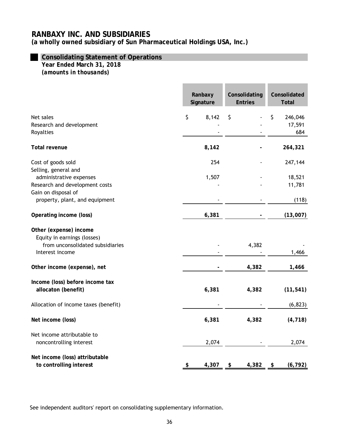**(a wholly owned subsidiary of Sun Pharmaceutical Holdings USA, Inc.)**

### **Consolidating Statement of Operations**

**Year Ended March 31, 2018** *(amounts in thousands)*

|                                                                                                              | Ranbaxy<br>Signature | Consolidating<br><b>Entries</b> | Consolidated<br><b>Total</b>   |
|--------------------------------------------------------------------------------------------------------------|----------------------|---------------------------------|--------------------------------|
| Net sales<br>Research and development<br>Royalties                                                           | \$<br>8,142          | \$                              | \$<br>246,046<br>17,591<br>684 |
| <b>Total revenue</b>                                                                                         | 8,142                |                                 | 264,321                        |
| Cost of goods sold<br>Selling, general and                                                                   | 254                  |                                 | 247,144                        |
| administrative expenses<br>Research and development costs<br>Gain on disposal of                             | 1,507                |                                 | 18,521<br>11,781               |
| property, plant, and equipment                                                                               |                      |                                 | (118)                          |
| Operating income (loss)                                                                                      | 6,381                |                                 | (13,007)                       |
| Other (expense) income<br>Equity in earnings (losses)<br>from unconsolidated subsidiaries<br>Interest income |                      | 4,382                           | 1,466                          |
| Other income (expense), net                                                                                  |                      | 4,382                           | 1,466                          |
| Income (loss) before income tax<br>allocaton (benefit)                                                       | 6,381                | 4,382                           | (11, 541)                      |
| Allocation of income taxes (benefit)                                                                         |                      |                                 | (6, 823)                       |
| Net income (loss)                                                                                            | 6,381                | 4,382                           | (4, 718)                       |
| Net income attributable to<br>noncontrolling interest                                                        | 2,074                |                                 | 2,074                          |
| Net income (loss) attributable<br>to controlling interest                                                    | 4,307<br>\$          | 4,382<br>\$                     | (6, 792)<br>\$                 |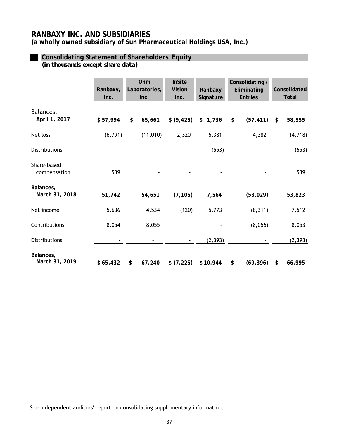**(a wholly owned subsidiary of Sun Pharmaceutical Holdings USA, Inc.)**

### **Consolidating Statement of Shareholders' Equity**

*(in thousands except share data)*

|                             | Ranbaxy,<br>Inc. |    | Ohm<br>Laboratories,<br>Inc. | <b>InSite</b><br><b>Vision</b><br>Inc. | Ranbaxy<br>Signature | Consolidating /<br>Eliminating<br><b>Entries</b> |           | Consolidated<br><b>Total</b> |
|-----------------------------|------------------|----|------------------------------|----------------------------------------|----------------------|--------------------------------------------------|-----------|------------------------------|
| Balances,<br>April 1, 2017  | \$57,994         | \$ | 65,661                       | \$ (9, 425)                            | \$1,736              | \$                                               | (57, 411) | \$<br>58,555                 |
| Net loss                    | (6, 791)         |    | (11, 010)                    | 2,320                                  | 6,381                |                                                  | 4,382     | (4, 718)                     |
| <b>Distributions</b>        |                  |    |                              |                                        | (553)                |                                                  |           | (553)                        |
| Share-based<br>compensation | 539              |    |                              |                                        |                      |                                                  |           | 539                          |
| Balances,<br>March 31, 2018 | 51,742           |    | 54,651                       | (7, 105)                               | 7,564                |                                                  | (53, 029) | 53,823                       |
| Net income                  | 5,636            |    | 4,534                        | (120)                                  | 5,773                |                                                  | (8, 311)  | 7,512                        |
| Contributions               | 8,054            |    | 8,055                        |                                        |                      |                                                  | (8,056)   | 8,053                        |
| <b>Distributions</b>        |                  |    |                              |                                        | (2, 393)             |                                                  |           | (2, 393)                     |
| Balances,<br>March 31, 2019 | \$65,432         | \$ |                              | $67,240$ \$ $(7,225)$ \$ 10,944        |                      | \$                                               | (69, 396) | \$<br>66,995                 |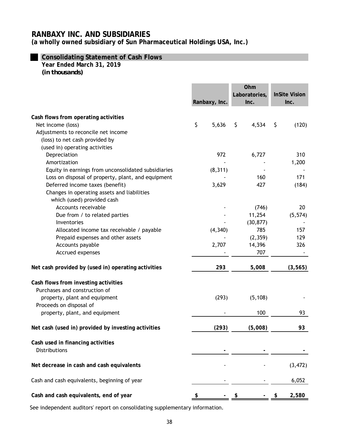**(a wholly owned subsidiary of Sun Pharmaceutical Holdings USA, Inc.)**

### **Consolidating Statement of Cash Flows**

**Year Ended March 31, 2019** *(in thousands)*

|                                                                                                                                    | Ranbaxy, Inc.     | Ohm<br>Laboratories,<br>Inc. | <b>InSite Vision</b><br>Inc. |
|------------------------------------------------------------------------------------------------------------------------------------|-------------------|------------------------------|------------------------------|
| Cash flows from operating activities<br>Net income (loss)<br>Adjustments to reconcile net income<br>(loss) to net cash provided by | \$<br>5,636       | \$<br>4,534                  | \$<br>(120)                  |
| (used in) operating activities<br>Depreciation                                                                                     | 972               | 6,727                        | 310                          |
| Amortization<br>Equity in earnings from unconsolidated subsidiaries<br>Loss on disposal of property, plant, and equipment          | (8, 311)          | 160                          | 1,200<br>171                 |
| Deferred income taxes (benefit)<br>Changes in operating assets and liabilities<br>which (used) provided cash                       | 3,629             | 427                          | (184)                        |
| Accounts receivable<br>Due from / to related parties<br>Inventories                                                                |                   | (746)<br>11,254<br>(30, 877) | 20<br>(5, 574)               |
| Allocated income tax receivable / payable<br>Prepaid expenses and other assets<br>Accounts payable                                 | (4, 340)<br>2,707 | 785<br>(2, 359)<br>14,396    | 157<br>129<br>326            |
| Accrued expenses                                                                                                                   |                   | 707                          |                              |
| Net cash provided by (used in) operating activities<br>Cash flows from investing activities                                        | 293               | 5,008                        | (3, 565)                     |
| Purchases and construction of<br>property, plant and equipment<br>Proceeds on disposal of                                          | (293)             | (5, 108)                     |                              |
| property, plant, and equipment                                                                                                     |                   | 100                          | 93                           |
| Net cash (used in) provided by investing activities                                                                                | (293)             | (5,008)                      | 93                           |
| Cash used in financing activities<br>Distributions                                                                                 |                   |                              |                              |
| Net decrease in cash and cash equivalents                                                                                          |                   |                              | (3, 472)                     |
| Cash and cash equivalents, beginning of year                                                                                       |                   |                              | 6,052                        |
| Cash and cash equivalents, end of year                                                                                             |                   |                              | 2,580                        |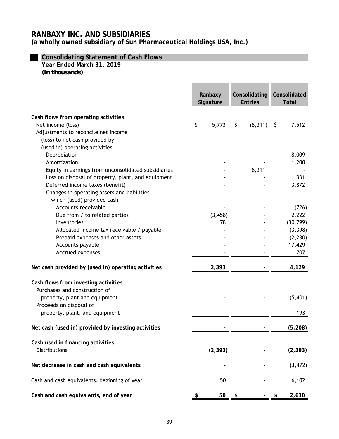**(a wholly owned subsidiary of Sun Pharmaceutical Holdings USA, Inc.)**

### **Consolidating Statement of Cash Flows**

**Year Ended March 31, 2019** *(in thousands)*

|                                                     | Ranbaxy<br>Signature | Consolidating<br><b>Entries</b> | Consolidated<br><b>Total</b> |
|-----------------------------------------------------|----------------------|---------------------------------|------------------------------|
| Cash flows from operating activities                |                      |                                 |                              |
| Net income (loss)                                   | \$<br>5,773          | \$<br>$(8,311)$ \$              | 7,512                        |
| Adjustments to reconcile net income                 |                      |                                 |                              |
| (loss) to net cash provided by                      |                      |                                 |                              |
| (used in) operating activities                      |                      |                                 |                              |
| Depreciation                                        |                      |                                 | 8,009                        |
| Amortization                                        |                      |                                 | 1,200                        |
| Equity in earnings from unconsolidated subsidiaries |                      | 8,311                           |                              |
| Loss on disposal of property, plant, and equipment  |                      |                                 | 331                          |
| Deferred income taxes (benefit)                     |                      |                                 | 3,872                        |
| Changes in operating assets and liabilities         |                      |                                 |                              |
| which (used) provided cash                          |                      |                                 |                              |
| Accounts receivable                                 |                      |                                 | (726)                        |
| Due from / to related parties                       | (3, 458)             |                                 | 2,222                        |
| Inventories                                         | 78                   |                                 | (30, 799)                    |
| Allocated income tax receivable / payable           |                      |                                 | (3, 398)                     |
| Prepaid expenses and other assets                   |                      |                                 | (2, 230)                     |
| Accounts payable                                    |                      |                                 | 17,429                       |
| Accrued expenses                                    |                      |                                 | 707                          |
| Net cash provided by (used in) operating activities | 2,393                |                                 | 4,129                        |
| Cash flows from investing activities                |                      |                                 |                              |
| Purchases and construction of                       |                      |                                 |                              |
| property, plant and equipment                       |                      |                                 | (5,401)                      |
| Proceeds on disposal of                             |                      |                                 |                              |
| property, plant, and equipment                      |                      |                                 | 193                          |
| Net cash (used in) provided by investing activities |                      |                                 | (5, 208)                     |
| Cash used in financing activities                   |                      |                                 |                              |
| Distributions                                       | (2, 393)             |                                 | (2, 393)                     |
| Net decrease in cash and cash equivalents           |                      |                                 | (3, 472)                     |
| Cash and cash equivalents, beginning of year        | 50                   |                                 | 6,102                        |
| Cash and cash equivalents, end of year              | \$<br>50             | \$                              | \$<br>2,630                  |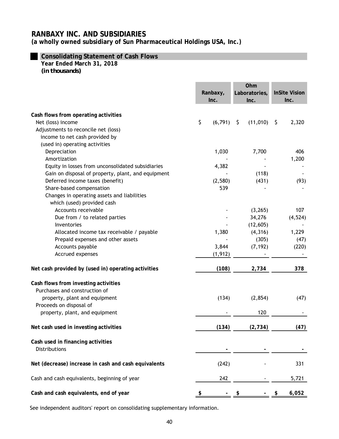**(a wholly owned subsidiary of Sun Pharmaceutical Holdings USA, Inc.)**

### **Consolidating Statement of Cash Flows**

**Year Ended March 31, 2018**

*(in thousands)* 

|                                                                                                                                    | Ranbaxy,<br>Inc. | Ohm<br>Laboratories,<br>Inc. | <b>InSite Vision</b><br>Inc. |
|------------------------------------------------------------------------------------------------------------------------------------|------------------|------------------------------|------------------------------|
| Cash flows from operating activities<br>Net (loss) income<br>Adjustments to reconcile net (loss)<br>income to net cash provided by | \$<br>(6, 791)   | (11, 010)<br>\$              | 2,320<br>-\$                 |
| (used in) operating activities<br>Depreciation                                                                                     | 1,030            | 7,700                        | 406                          |
| Amortization                                                                                                                       |                  |                              | 1,200                        |
| Equity in losses from unconsolidated subsidiaries                                                                                  | 4,382            |                              |                              |
| Gain on disposal of property, plant, and equipment                                                                                 |                  | (118)                        |                              |
| Deferred income taxes (benefit)                                                                                                    | (2,580)          | (431)                        | (93)                         |
| Share-based compensation                                                                                                           | 539              |                              |                              |
| Changes in operating assets and liabilities<br>which (used) provided cash                                                          |                  |                              |                              |
| Accounts receivable                                                                                                                |                  | (3,265)                      | 107                          |
| Due from / to related parties                                                                                                      |                  | 34,276                       | (4, 524)                     |
| Inventories                                                                                                                        |                  | (12, 605)                    |                              |
| Allocated income tax receivable / payable                                                                                          | 1,380            | (4, 316)                     | 1,229                        |
| Prepaid expenses and other assets                                                                                                  |                  | (305)                        | (47)                         |
| Accounts payable                                                                                                                   | 3,844            | (7, 192)                     | (220)                        |
| Accrued expenses                                                                                                                   | (1, 912)         |                              |                              |
| Net cash provided by (used in) operating activities                                                                                | (108)            | 2,734                        | 378                          |
| Cash flows from investing activities                                                                                               |                  |                              |                              |
| Purchases and construction of                                                                                                      |                  |                              |                              |
| property, plant and equipment                                                                                                      | (134)            | (2,854)                      | (47)                         |
| Proceeds on disposal of                                                                                                            |                  |                              |                              |
| property, plant, and equipment                                                                                                     |                  | 120                          |                              |
| Net cash used in investing activities                                                                                              | (134)            | (2, 734)                     | (47)                         |
| Cash used in financing activities<br>Distributions                                                                                 |                  |                              |                              |
| Net (decrease) increase in cash and cash equivalents                                                                               | (242)            |                              | 331                          |
| Cash and cash equivalents, beginning of year                                                                                       | 242              |                              | 5,721                        |
| Cash and cash equivalents, end of year                                                                                             |                  |                              | 6,052                        |